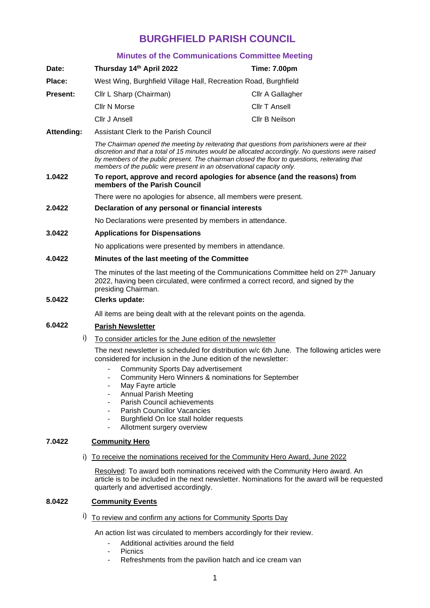# **BURGHFIELD PARISH COUNCIL**

#### **Minutes of the Communications Committee Meeting**

|                   |    | <b>Minutes of the Communications Committee Meeting</b>                                                                                                                                                                                                                                                                                                                         |                                                                                                                                                                                 |  |
|-------------------|----|--------------------------------------------------------------------------------------------------------------------------------------------------------------------------------------------------------------------------------------------------------------------------------------------------------------------------------------------------------------------------------|---------------------------------------------------------------------------------------------------------------------------------------------------------------------------------|--|
| Date:             |    | Thursday 14th April 2022                                                                                                                                                                                                                                                                                                                                                       | <b>Time: 7.00pm</b>                                                                                                                                                             |  |
| Place:            |    | West Wing, Burghfield Village Hall, Recreation Road, Burghfield                                                                                                                                                                                                                                                                                                                |                                                                                                                                                                                 |  |
| <b>Present:</b>   |    | Cllr L Sharp (Chairman)                                                                                                                                                                                                                                                                                                                                                        | Cllr A Gallagher                                                                                                                                                                |  |
|                   |    | Cllr N Morse                                                                                                                                                                                                                                                                                                                                                                   | <b>Cllr T Ansell</b>                                                                                                                                                            |  |
|                   |    | Cllr J Ansell                                                                                                                                                                                                                                                                                                                                                                  | Cllr B Neilson                                                                                                                                                                  |  |
| <b>Attending:</b> |    | Assistant Clerk to the Parish Council                                                                                                                                                                                                                                                                                                                                          |                                                                                                                                                                                 |  |
|                   |    | The Chairman opened the meeting by reiterating that questions from parishioners were at their<br>discretion and that a total of 15 minutes would be allocated accordingly. No questions were raised<br>by members of the public present. The chairman closed the floor to questions, reiterating that<br>members of the public were present in an observational capacity only. |                                                                                                                                                                                 |  |
| 1.0422            |    | To report, approve and record apologies for absence (and the reasons) from<br>members of the Parish Council                                                                                                                                                                                                                                                                    |                                                                                                                                                                                 |  |
|                   |    | There were no apologies for absence, all members were present.                                                                                                                                                                                                                                                                                                                 |                                                                                                                                                                                 |  |
| 2.0422            |    | Declaration of any personal or financial interests                                                                                                                                                                                                                                                                                                                             |                                                                                                                                                                                 |  |
|                   |    | No Declarations were presented by members in attendance.                                                                                                                                                                                                                                                                                                                       |                                                                                                                                                                                 |  |
| 3.0422            |    | <b>Applications for Dispensations</b>                                                                                                                                                                                                                                                                                                                                          |                                                                                                                                                                                 |  |
|                   |    | No applications were presented by members in attendance.                                                                                                                                                                                                                                                                                                                       |                                                                                                                                                                                 |  |
| 4.0422            |    | Minutes of the last meeting of the Committee                                                                                                                                                                                                                                                                                                                                   |                                                                                                                                                                                 |  |
|                   |    | presiding Chairman.                                                                                                                                                                                                                                                                                                                                                            | The minutes of the last meeting of the Communications Committee held on $27th$ January<br>2022, having been circulated, were confirmed a correct record, and signed by the      |  |
| 5.0422            |    | Clerks update:                                                                                                                                                                                                                                                                                                                                                                 |                                                                                                                                                                                 |  |
|                   |    | All items are being dealt with at the relevant points on the agenda.                                                                                                                                                                                                                                                                                                           |                                                                                                                                                                                 |  |
| 6.0422            |    | <b>Parish Newsletter</b>                                                                                                                                                                                                                                                                                                                                                       |                                                                                                                                                                                 |  |
|                   | i) | To consider articles for the June edition of the newsletter                                                                                                                                                                                                                                                                                                                    |                                                                                                                                                                                 |  |
|                   |    | considered for inclusion in the June edition of the newsletter:                                                                                                                                                                                                                                                                                                                | The next newsletter is scheduled for distribution w/c 6th June. The following articles were                                                                                     |  |
|                   |    | Community Sports Day advertisement<br>Community Hero Winners & nominations for September<br>May Fayre article<br><b>Annual Parish Meeting</b><br>Parish Council achievements<br>$\overline{\phantom{a}}$<br><b>Parish Councillor Vacancies</b><br>Burghfield On Ice stall holder requests<br>Allotment surgery overview                                                        |                                                                                                                                                                                 |  |
| 7.0422            |    | <b>Community Hero</b>                                                                                                                                                                                                                                                                                                                                                          |                                                                                                                                                                                 |  |
|                   | I) | To receive the nominations received for the Community Hero Award, June 2022                                                                                                                                                                                                                                                                                                    |                                                                                                                                                                                 |  |
|                   |    | quarterly and advertised accordingly.                                                                                                                                                                                                                                                                                                                                          | Resolved: To award both nominations received with the Community Hero award. An<br>article is to be included in the next newsletter. Nominations for the award will be requested |  |

#### **8.0422 Community Events**

i) To review and confirm any actions for Community Sports Day

An action list was circulated to members accordingly for their review.

- Additional activities around the field
- Picnics<br>- Refresh
- Refreshments from the pavilion hatch and ice cream van